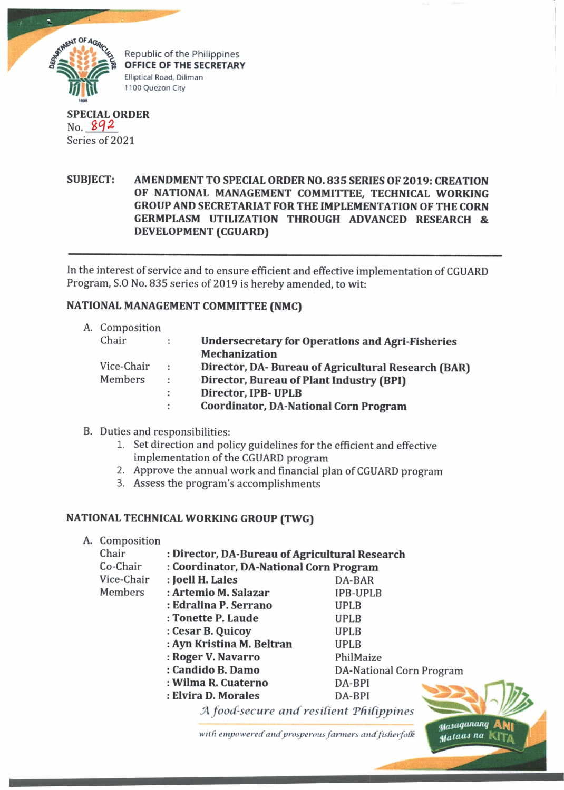

Republic of the Philippines **OFFICE OF THE SECRETARY** Elliptical Road, Diliman 1100 Quezon City

**SPECIAL ORDER** No.  $892$ Series of 2021

# **SUBJECT: AMENDMENT TO SPECIAL ORDER NO. 835 SERIES OF 2019: CREATION OF NATIONAL MANAGEMENT COMMITTEE, TECHNICAL WORKING GROUP AND SECRETARIAT FOR THE IMPLEMENTATION OF THE CORN GERMPLASM UTILIZATION THROUGH ADVANCED RESEARCH & DEVELOPMENT (CGUARD)**

In the interest of service and to ensure efficient and effective implementation of CGUARD Program, S.O No. 835 series of 2019 is hereby amended, to wit:

# **NATIONAL MANAGEMENT COMMITTEE (NMC)**

| A. Composition |                      |                                                         |
|----------------|----------------------|---------------------------------------------------------|
| Chair          |                      | <b>Undersecretary for Operations and Agri-Fisheries</b> |
|                |                      | <b>Mechanization</b>                                    |
| Vice-Chair     | ÷                    | Director, DA-Bureau of Agricultural Research (BAR)      |
| Members        | $\ddot{\phantom{a}}$ | Director, Bureau of Plant Industry (BPI)                |
|                | ÷                    | Director, IPB- UPLB                                     |
|                | ÷                    | <b>Coordinator, DA-National Corn Program</b>            |
|                |                      |                                                         |

#### B. Duties and responsibilities:

- 1. Set direction and policy guidelines for the efficient and effective implementation of the CGUARD program
- 2. Approve the annual work and financial plan of CGUARD program
- 3. Assess the program's accomplishments

#### **NATIONAL TECHNICAL WORKING GROUP (TWG)**

A. Composition

| Chair      | : Director, DA-Bureau of Agricultural Research |                          |  |  |  |
|------------|------------------------------------------------|--------------------------|--|--|--|
| Co-Chair   | : Coordinator, DA-National Corn Program        |                          |  |  |  |
| Vice-Chair | : Joell H. Lales                               | DA-BAR                   |  |  |  |
| Members    | : Artemio M. Salazar                           | <b>IPB-UPLB</b>          |  |  |  |
|            | : Edralina P. Serrano                          | UPLB                     |  |  |  |
|            | : Tonette P. Laude                             | <b>UPLB</b>              |  |  |  |
|            | : Cesar B. Quicoy                              | UPLB                     |  |  |  |
|            | : Ayn Kristina M. Beltran                      | <b>UPLB</b>              |  |  |  |
|            | : Roger V. Navarro                             | PhilMaize                |  |  |  |
|            | : Candido B. Damo                              | DA-National Corn Program |  |  |  |
|            | : Wilma R. Cuaterno                            | DA-BPI                   |  |  |  |
|            | : Elvira D. Morales                            | DA-BPI                   |  |  |  |
|            | A food-secure and resilient Philippines        |                          |  |  |  |

with empowered and prosperous farmers and fisherfolk

Masaganang **Mataas na** l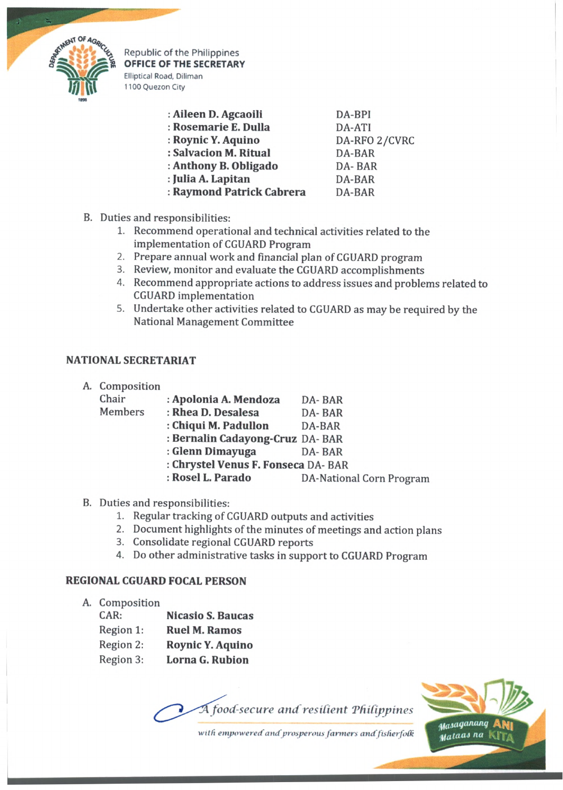

Republic of the Philippines **OFFICE OF THE SECRETARY** Elliptical Road, Diliman

| : Aileen D. Agcaoili      | DA-BPI        |
|---------------------------|---------------|
| : Rosemarie E. Dulla      | DA-ATI        |
| : Roynic Y. Aquino        | DA-RFO 2/CVRC |
| : Salvacion M. Ritual     | DA-BAR        |
| : Anthony B. Obligado     | DA-BAR        |
| : Julia A. Lapitan        | DA-BAR        |
| : Raymond Patrick Cabrera | DA-BAR        |

B. Duties and responsibilities:

1100 Quezon City

- 1. Recommend operational and technical activities related to the implementation of CGUARD Program
- 2. Prepare annual work and financial plan of CGUARD program
- 3. Review, monitor and evaluate the CGUARD accomplishments
- 4. Recommend appropriate actions to address issues and problems related to CGUARD implementation
- 5. Undertake other activities related to CGUARD as may be required by the National Management Committee

## **NATIONAL SECRETARIAT**

| A. |  | Composition |
|----|--|-------------|
|----|--|-------------|

| Chair   | : Apolonia A. Mendoza               | DA-BAR                          |  |
|---------|-------------------------------------|---------------------------------|--|
| Members | : Rhea D. Desalesa                  | DA-BAR                          |  |
|         | : Chiqui M. Padullon                | DA-BAR                          |  |
|         | : Bernalin Cadayong-Cruz DA- BAR    |                                 |  |
|         | : Glenn Dimayuga                    | DA-BAR                          |  |
|         | : Chrystel Venus F. Fonseca DA- BAR |                                 |  |
|         | : Rosel L. Parado                   | <b>DA-National Corn Program</b> |  |
|         |                                     |                                 |  |

- B. Duties and responsibilities:
	- 1. Regular tracking of CGUARD outputs and activities
	- 2. Document highlights of the minutes of meetings and action plans
	- 3. Consolidate regional CGUARD reports
	- 4. Do other administrative tasks in support to CGUARD Program

### **REGIONAL CGUARD FOCAL PERSON**

- A. Composition
	- CAR: **Nicasio S. Baucas** Region 1: **Ruel M. Ramos** Region 2: **Roynic Y. Aquino** Region 3: **Lorna G. Rubion**

A food-secure and resilient Philippines



with empowered and prosperous farmers and fisherfolk